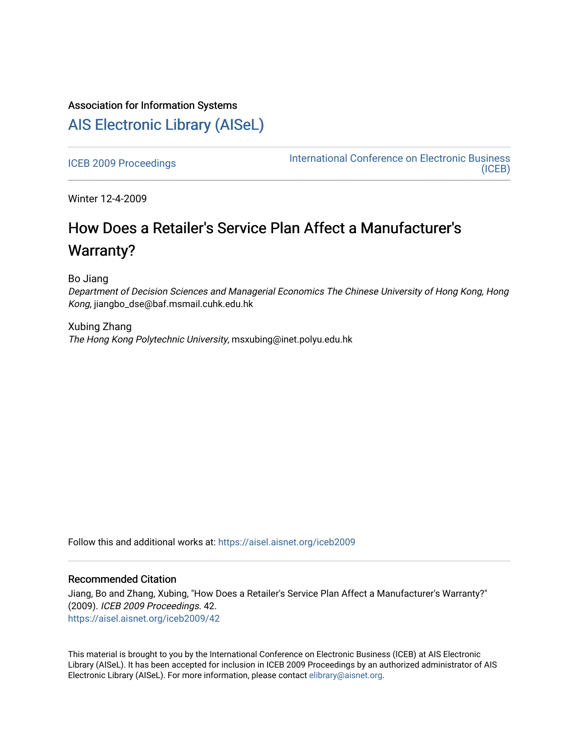### Association for Information Systems

## [AIS Electronic Library \(AISeL\)](https://aisel.aisnet.org/)

[ICEB 2009 Proceedings](https://aisel.aisnet.org/iceb2009) **International Conference on Electronic Business** [\(ICEB\)](https://aisel.aisnet.org/iceb) 

Winter 12-4-2009

# How Does a Retailer's Service Plan Affect a Manufacturer's Warranty?

Bo Jiang

Department of Decision Sciences and Managerial Economics The Chinese University of Hong Kong, Hong Kong, jiangbo\_dse@baf.msmail.cuhk.edu.hk

Xubing Zhang The Hong Kong Polytechnic University, msxubing@inet.polyu.edu.hk

Follow this and additional works at: [https://aisel.aisnet.org/iceb2009](https://aisel.aisnet.org/iceb2009?utm_source=aisel.aisnet.org%2Ficeb2009%2F42&utm_medium=PDF&utm_campaign=PDFCoverPages)

### Recommended Citation

Jiang, Bo and Zhang, Xubing, "How Does a Retailer's Service Plan Affect a Manufacturer's Warranty?" (2009). ICEB 2009 Proceedings. 42. [https://aisel.aisnet.org/iceb2009/42](https://aisel.aisnet.org/iceb2009/42?utm_source=aisel.aisnet.org%2Ficeb2009%2F42&utm_medium=PDF&utm_campaign=PDFCoverPages) 

This material is brought to you by the International Conference on Electronic Business (ICEB) at AIS Electronic Library (AISeL). It has been accepted for inclusion in ICEB 2009 Proceedings by an authorized administrator of AIS Electronic Library (AISeL). For more information, please contact [elibrary@aisnet.org.](mailto:elibrary@aisnet.org%3E)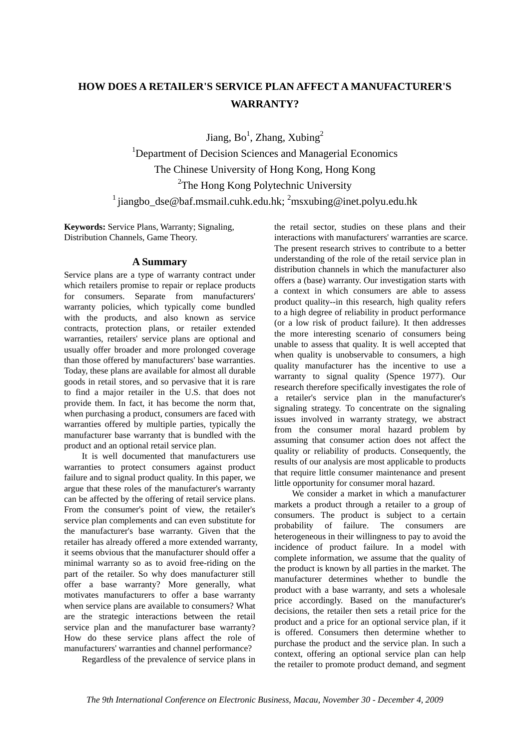### **HOW DOES A RETAILER'S SERVICE PLAN AFFECT A MANUFACTURER'S WARRANTY?**

Jiang,  $Bo^1$ , Zhang, Xubing<sup>2</sup>

<sup>1</sup>Department of Decision Sciences and Managerial Economics The Chinese University of Hong Kong, Hong Kong <sup>2</sup>The Hong Kong Polytechnic University <sup>1</sup> jiangbo\_dse@baf.msmail.cuhk.edu.hk; <sup>2</sup>msxubing@inet.polyu.edu.hk

**Keywords:** Service Plans, Warranty; Signaling, Distribution Channels, Game Theory.

### **A Summary**

Service plans are a type of warranty contract under which retailers promise to repair or replace products for consumers. Separate from manufacturers' warranty policies, which typically come bundled with the products, and also known as service contracts, protection plans, or retailer extended warranties, retailers' service plans are optional and usually offer broader and more prolonged coverage than those offered by manufacturers' base warranties. Today, these plans are available for almost all durable goods in retail stores, and so pervasive that it is rare to find a major retailer in the U.S. that does not provide them. In fact, it has become the norm that, when purchasing a product, consumers are faced with warranties offered by multiple parties, typically the manufacturer base warranty that is bundled with the product and an optional retail service plan.

It is well documented that manufacturers use warranties to protect consumers against product failure and to signal product quality. In this paper, we argue that these roles of the manufacturer's warranty can be affected by the offering of retail service plans. From the consumer's point of view, the retailer's service plan complements and can even substitute for the manufacturer's base warranty. Given that the retailer has already offered a more extended warranty, it seems obvious that the manufacturer should offer a minimal warranty so as to avoid free-riding on the part of the retailer. So why does manufacturer still offer a base warranty? More generally, what motivates manufacturers to offer a base warranty when service plans are available to consumers? What are the strategic interactions between the retail service plan and the manufacturer base warranty? How do these service plans affect the role of manufacturers' warranties and channel performance?

Regardless of the prevalence of service plans in

the retail sector, studies on these plans and their interactions with manufacturers' warranties are scarce. The present research strives to contribute to a better understanding of the role of the retail service plan in distribution channels in which the manufacturer also offers a (base) warranty. Our investigation starts with a context in which consumers are able to assess product quality--in this research, high quality refers to a high degree of reliability in product performance (or a low risk of product failure). It then addresses the more interesting scenario of consumers being unable to assess that quality. It is well accepted that when quality is unobservable to consumers, a high quality manufacturer has the incentive to use a warranty to signal quality (Spence 1977). Our research therefore specifically investigates the role of a retailer's service plan in the manufacturer's signaling strategy. To concentrate on the signaling issues involved in warranty strategy, we abstract from the consumer moral hazard problem by assuming that consumer action does not affect the quality or reliability of products. Consequently, the results of our analysis are most applicable to products that require little consumer maintenance and present little opportunity for consumer moral hazard.

We consider a market in which a manufacturer markets a product through a retailer to a group of consumers. The product is subject to a certain probability of failure. The consumers are heterogeneous in their willingness to pay to avoid the incidence of product failure. In a model with complete information, we assume that the quality of the product is known by all parties in the market. The manufacturer determines whether to bundle the product with a base warranty, and sets a wholesale price accordingly. Based on the manufacturer's decisions, the retailer then sets a retail price for the product and a price for an optional service plan, if it is offered. Consumers then determine whether to purchase the product and the service plan. In such a context, offering an optional service plan can help the retailer to promote product demand, and segment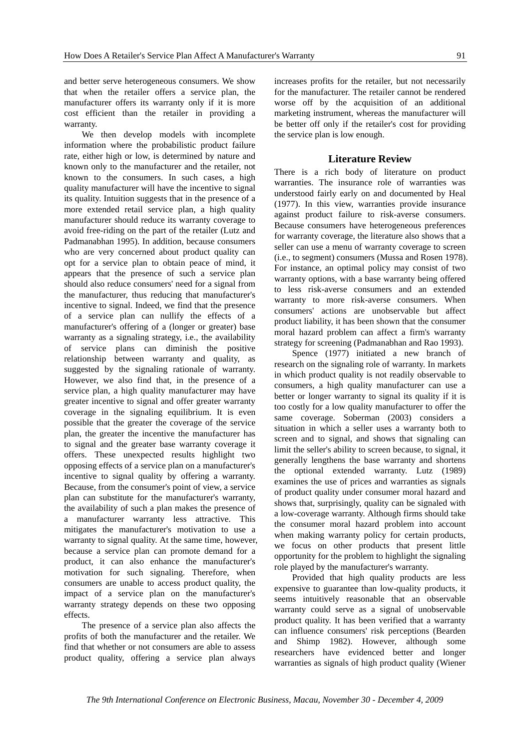and better serve heterogeneous consumers. We show that when the retailer offers a service plan, the manufacturer offers its warranty only if it is more cost efficient than the retailer in providing a warranty.

We then develop models with incomplete information where the probabilistic product failure rate, either high or low, is determined by nature and known only to the manufacturer and the retailer, not known to the consumers. In such cases, a high quality manufacturer will have the incentive to signal its quality. Intuition suggests that in the presence of a more extended retail service plan, a high quality manufacturer should reduce its warranty coverage to avoid free-riding on the part of the retailer (Lutz and Padmanabhan 1995). In addition, because consumers who are very concerned about product quality can opt for a service plan to obtain peace of mind, it appears that the presence of such a service plan should also reduce consumers' need for a signal from the manufacturer, thus reducing that manufacturer's incentive to signal. Indeed, we find that the presence of a service plan can nullify the effects of a manufacturer's offering of a (longer or greater) base warranty as a signaling strategy, i.e., the availability of service plans can diminish the positive relationship between warranty and quality, as suggested by the signaling rationale of warranty. However, we also find that, in the presence of a service plan, a high quality manufacturer may have greater incentive to signal and offer greater warranty coverage in the signaling equilibrium. It is even possible that the greater the coverage of the service plan, the greater the incentive the manufacturer has to signal and the greater base warranty coverage it offers. These unexpected results highlight two opposing effects of a service plan on a manufacturer's incentive to signal quality by offering a warranty. Because, from the consumer's point of view, a service plan can substitute for the manufacturer's warranty, the availability of such a plan makes the presence of a manufacturer warranty less attractive. This mitigates the manufacturer's motivation to use a warranty to signal quality. At the same time, however, because a service plan can promote demand for a product, it can also enhance the manufacturer's motivation for such signaling. Therefore, when consumers are unable to access product quality, the impact of a service plan on the manufacturer's warranty strategy depends on these two opposing effects.

The presence of a service plan also affects the profits of both the manufacturer and the retailer. We find that whether or not consumers are able to assess product quality, offering a service plan always increases profits for the retailer, but not necessarily for the manufacturer. The retailer cannot be rendered worse off by the acquisition of an additional marketing instrument, whereas the manufacturer will be better off only if the retailer's cost for providing the service plan is low enough.

#### **Literature Review**

There is a rich body of literature on product warranties. The insurance role of warranties was understood fairly early on and documented by Heal (1977). In this view, warranties provide insurance against product failure to risk-averse consumers. Because consumers have heterogeneous preferences for warranty coverage, the literature also shows that a seller can use a menu of warranty coverage to screen (i.e., to segment) consumers (Mussa and Rosen 1978). For instance, an optimal policy may consist of two warranty options, with a base warranty being offered to less risk-averse consumers and an extended warranty to more risk-averse consumers. When consumers' actions are unobservable but affect product liability, it has been shown that the consumer moral hazard problem can affect a firm's warranty strategy for screening (Padmanabhan and Rao 1993).

Spence (1977) initiated a new branch of research on the signaling role of warranty. In markets in which product quality is not readily observable to consumers, a high quality manufacturer can use a better or longer warranty to signal its quality if it is too costly for a low quality manufacturer to offer the same coverage. Soberman (2003) considers a situation in which a seller uses a warranty both to screen and to signal, and shows that signaling can limit the seller's ability to screen because, to signal, it generally lengthens the base warranty and shortens the optional extended warranty. Lutz (1989) examines the use of prices and warranties as signals of product quality under consumer moral hazard and shows that, surprisingly, quality can be signaled with a low-coverage warranty. Although firms should take the consumer moral hazard problem into account when making warranty policy for certain products, we focus on other products that present little opportunity for the problem to highlight the signaling role played by the manufacturer's warranty.

Provided that high quality products are less expensive to guarantee than low-quality products, it seems intuitively reasonable that an observable warranty could serve as a signal of unobservable product quality. It has been verified that a warranty can influence consumers' risk perceptions (Bearden and Shimp 1982). However, although some researchers have evidenced better and longer warranties as signals of high product quality (Wiener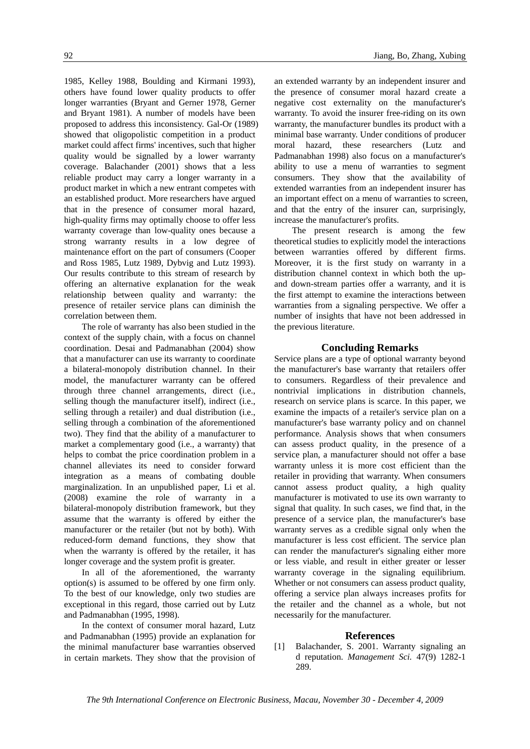1985, Kelley 1988, Boulding and Kirmani 1993), others have found lower quality products to offer longer warranties (Bryant and Gerner 1978, Gerner and Bryant 1981). A number of models have been proposed to address this inconsistency. Gal-Or (1989) showed that oligopolistic competition in a product market could affect firms' incentives, such that higher quality would be signalled by a lower warranty coverage. Balachander (2001) shows that a less reliable product may carry a longer warranty in a product market in which a new entrant competes with an established product. More researchers have argued that in the presence of consumer moral hazard, high-quality firms may optimally choose to offer less warranty coverage than low-quality ones because a strong warranty results in a low degree of maintenance effort on the part of consumers (Cooper and Ross 1985, Lutz 1989, Dybvig and Lutz 1993). Our results contribute to this stream of research by offering an alternative explanation for the weak relationship between quality and warranty: the presence of retailer service plans can diminish the correlation between them.

The role of warranty has also been studied in the context of the supply chain, with a focus on channel coordination. Desai and Padmanabhan (2004) show that a manufacturer can use its warranty to coordinate a bilateral-monopoly distribution channel. In their model, the manufacturer warranty can be offered through three channel arrangements, direct (i.e., selling though the manufacturer itself), indirect (i.e., selling through a retailer) and dual distribution (i.e., selling through a combination of the aforementioned two). They find that the ability of a manufacturer to market a complementary good (i.e., a warranty) that helps to combat the price coordination problem in a channel alleviates its need to consider forward integration as a means of combating double marginalization. In an unpublished paper, Li et al. (2008) examine the role of warranty in a bilateral-monopoly distribution framework, but they assume that the warranty is offered by either the manufacturer or the retailer (but not by both). With reduced-form demand functions, they show that when the warranty is offered by the retailer, it has longer coverage and the system profit is greater.

In all of the aforementioned, the warranty option(s) is assumed to be offered by one firm only. To the best of our knowledge, only two studies are exceptional in this regard, those carried out by Lutz and Padmanabhan (1995, 1998).

In the context of consumer moral hazard, Lutz and Padmanabhan (1995) provide an explanation for the minimal manufacturer base warranties observed in certain markets. They show that the provision of an extended warranty by an independent insurer and the presence of consumer moral hazard create a negative cost externality on the manufacturer's warranty. To avoid the insurer free-riding on its own warranty, the manufacturer bundles its product with a minimal base warranty. Under conditions of producer moral hazard, these researchers (Lutz and Padmanabhan 1998) also focus on a manufacturer's ability to use a menu of warranties to segment consumers. They show that the availability of extended warranties from an independent insurer has an important effect on a menu of warranties to screen, and that the entry of the insurer can, surprisingly, increase the manufacturer's profits.

The present research is among the few theoretical studies to explicitly model the interactions between warranties offered by different firms. Moreover, it is the first study on warranty in a distribution channel context in which both the upand down-stream parties offer a warranty, and it is the first attempt to examine the interactions between warranties from a signaling perspective. We offer a number of insights that have not been addressed in the previous literature.

### **Concluding Remarks**

Service plans are a type of optional warranty beyond the manufacturer's base warranty that retailers offer to consumers. Regardless of their prevalence and nontrivial implications in distribution channels, research on service plans is scarce. In this paper, we examine the impacts of a retailer's service plan on a manufacturer's base warranty policy and on channel performance. Analysis shows that when consumers can assess product quality, in the presence of a service plan, a manufacturer should not offer a base warranty unless it is more cost efficient than the retailer in providing that warranty. When consumers cannot assess product quality, a high quality manufacturer is motivated to use its own warranty to signal that quality. In such cases, we find that, in the presence of a service plan, the manufacturer's base warranty serves as a credible signal only when the manufacturer is less cost efficient. The service plan can render the manufacturer's signaling either more or less viable, and result in either greater or lesser warranty coverage in the signaling equilibrium. Whether or not consumers can assess product quality, offering a service plan always increases profits for the retailer and the channel as a whole, but not necessarily for the manufacturer.

#### **References**

[1] Balachander, S. 2001. Warranty signaling an d reputation. *Management Sci.* 47(9) 1282-1 289.